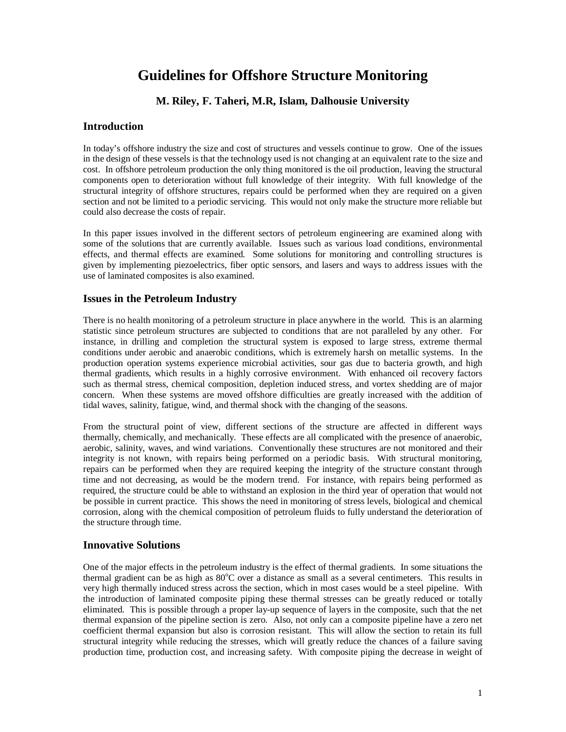# **Guidelines for Offshore Structure Monitoring**

# **M. Riley, F. Taheri, M.R, Islam, Dalhousie University**

## **Introduction**

In today's offshore industry the size and cost of structures and vessels continue to grow. One of the issues in the design of these vessels is that the technology used is not changing at an equivalent rate to the size and cost. In offshore petroleum production the only thing monitored is the oil production, leaving the structural components open to deterioration without full knowledge of their integrity. With full knowledge of the structural integrity of offshore structures, repairs could be performed when they are required on a given section and not be limited to a periodic servicing. This would not only make the structure more reliable but could also decrease the costs of repair.

In this paper issues involved in the different sectors of petroleum engineering are examined along with some of the solutions that are currently available. Issues such as various load conditions, environmental effects, and thermal effects are examined. Some solutions for monitoring and controlling structures is given by implementing piezoelectrics, fiber optic sensors, and lasers and ways to address issues with the use of laminated composites is also examined.

#### **Issues in the Petroleum Industry**

There is no health monitoring of a petroleum structure in place anywhere in the world. This is an alarming statistic since petroleum structures are subjected to conditions that are not paralleled by any other. For instance, in drilling and completion the structural system is exposed to large stress, extreme thermal conditions under aerobic and anaerobic conditions, which is extremely harsh on metallic systems. In the production operation systems experience microbial activities, sour gas due to bacteria growth, and high thermal gradients, which results in a highly corrosive environment. With enhanced oil recovery factors such as thermal stress, chemical composition, depletion induced stress, and vortex shedding are of major concern. When these systems are moved offshore difficulties are greatly increased with the addition of tidal waves, salinity, fatigue, wind, and thermal shock with the changing of the seasons.

From the structural point of view, different sections of the structure are affected in different ways thermally, chemically, and mechanically. These effects are all complicated with the presence of anaerobic, aerobic, salinity, waves, and wind variations. Conventionally these structures are not monitored and their integrity is not known, with repairs being performed on a periodic basis. With structural monitoring, repairs can be performed when they are required keeping the integrity of the structure constant through time and not decreasing, as would be the modern trend. For instance, with repairs being performed as required, the structure could be able to withstand an explosion in the third year of operation that would not be possible in current practice. This shows the need in monitoring of stress levels, biological and chemical corrosion, along with the chemical composition of petroleum fluids to fully understand the deterioration of the structure through time.

#### **Innovative Solutions**

One of the major effects in the petroleum industry is the effect of thermal gradients. In some situations the thermal gradient can be as high as  $80^{\circ}$ C over a distance as small as a several centimeters. This results in very high thermally induced stress across the section, which in most cases would be a steel pipeline. With the introduction of laminated composite piping these thermal stresses can be greatly reduced or totally eliminated. This is possible through a proper lay-up sequence of layers in the composite, such that the net thermal expansion of the pipeline section is zero. Also, not only can a composite pipeline have a zero net coefficient thermal expansion but also is corrosion resistant. This will allow the section to retain its full structural integrity while reducing the stresses, which will greatly reduce the chances of a failure saving production time, production cost, and increasing safety. With composite piping the decrease in weight of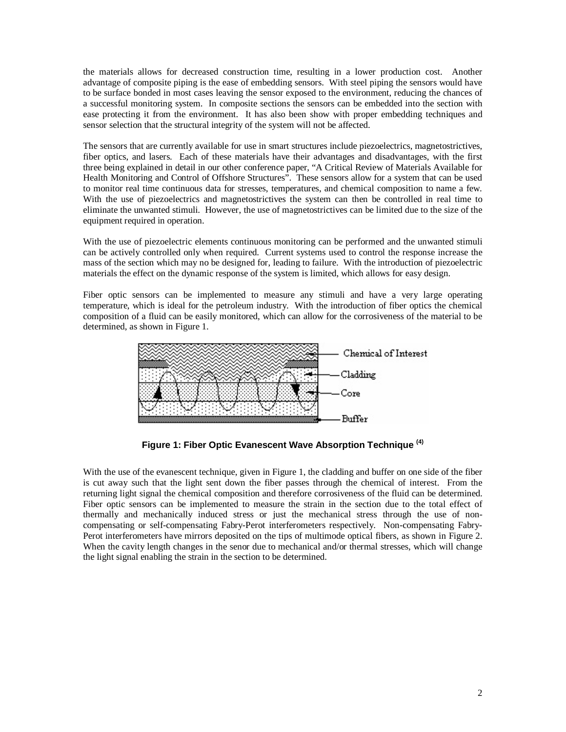the materials allows for decreased construction time, resulting in a lower production cost. Another advantage of composite piping is the ease of embedding sensors. With steel piping the sensors would have to be surface bonded in most cases leaving the sensor exposed to the environment, reducing the chances of a successful monitoring system. In composite sections the sensors can be embedded into the section with ease protecting it from the environment. It has also been show with proper embedding techniques and sensor selection that the structural integrity of the system will not be affected.

The sensors that are currently available for use in smart structures include piezoelectrics, magnetostrictives, fiber optics, and lasers. Each of these materials have their advantages and disadvantages, with the first three being explained in detail in our other conference paper, "A Critical Review of Materials Available for Health Monitoring and Control of Offshore Structures". These sensors allow for a system that can be used to monitor real time continuous data for stresses, temperatures, and chemical composition to name a few. With the use of piezoelectrics and magnetostrictives the system can then be controlled in real time to eliminate the unwanted stimuli. However, the use of magnetostrictives can be limited due to the size of the equipment required in operation.

With the use of piezoelectric elements continuous monitoring can be performed and the unwanted stimuli can be actively controlled only when required. Current systems used to control the response increase the mass of the section which may no be designed for, leading to failure. With the introduction of piezoelectric materials the effect on the dynamic response of the system is limited, which allows for easy design.

Fiber optic sensors can be implemented to measure any stimuli and have a very large operating temperature, which is ideal for the petroleum industry. With the introduction of fiber optics the chemical composition of a fluid can be easily monitored, which can allow for the corrosiveness of the material to be determined, as shown in Figure 1.



**Figure 1: Fiber Optic Evanescent Wave Absorption Technique (4)**

With the use of the evanescent technique, given in Figure 1, the cladding and buffer on one side of the fiber is cut away such that the light sent down the fiber passes through the chemical of interest. From the returning light signal the chemical composition and therefore corrosiveness of the fluid can be determined. Fiber optic sensors can be implemented to measure the strain in the section due to the total effect of thermally and mechanically induced stress or just the mechanical stress through the use of noncompensating or self-compensating Fabry-Perot interferometers respectively. Non-compensating Fabry-Perot interferometers have mirrors deposited on the tips of multimode optical fibers, as shown in Figure 2. When the cavity length changes in the senor due to mechanical and/or thermal stresses, which will change the light signal enabling the strain in the section to be determined.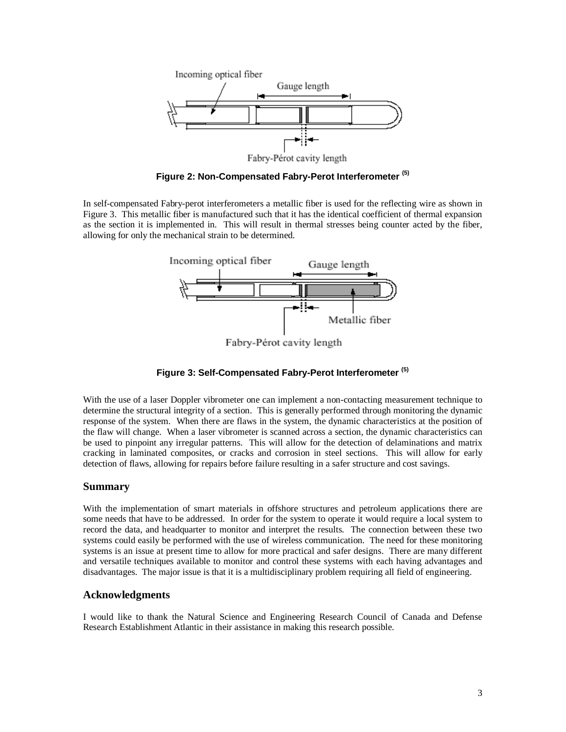

**Figure 2: Non-Compensated Fabry-Perot Interferometer (5)**

In self-compensated Fabry-perot interferometers a metallic fiber is used for the reflecting wire as shown in Figure 3. This metallic fiber is manufactured such that it has the identical coefficient of thermal expansion as the section it is implemented in. This will result in thermal stresses being counter acted by the fiber, allowing for only the mechanical strain to be determined.



Fabry-Pérot cavity length

#### **Figure 3: Self-Compensated Fabry-Perot Interferometer (5)**

With the use of a laser Doppler vibrometer one can implement a non-contacting measurement technique to determine the structural integrity of a section. This is generally performed through monitoring the dynamic response of the system. When there are flaws in the system, the dynamic characteristics at the position of the flaw will change. When a laser vibrometer is scanned across a section, the dynamic characteristics can be used to pinpoint any irregular patterns. This will allow for the detection of delaminations and matrix cracking in laminated composites, or cracks and corrosion in steel sections. This will allow for early detection of flaws, allowing for repairs before failure resulting in a safer structure and cost savings.

#### **Summary**

With the implementation of smart materials in offshore structures and petroleum applications there are some needs that have to be addressed. In order for the system to operate it would require a local system to record the data, and headquarter to monitor and interpret the results. The connection between these two systems could easily be performed with the use of wireless communication. The need for these monitoring systems is an issue at present time to allow for more practical and safer designs. There are many different and versatile techniques available to monitor and control these systems with each having advantages and disadvantages. The major issue is that it is a multidisciplinary problem requiring all field of engineering.

#### **Acknowledgments**

I would like to thank the Natural Science and Engineering Research Council of Canada and Defense Research Establishment Atlantic in their assistance in making this research possible.